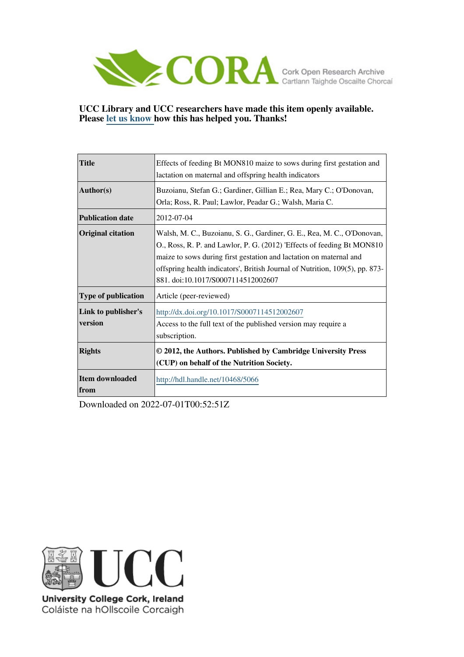

## **UCC Library and UCC researchers have made this item openly available. Please [let us know h](https://libguides.ucc.ie/openaccess/impact?suffix=5066&title=Effects of feeding Bt MON810 maize to sows during first gestation and lactation on maternal and offspring health indicators)ow this has helped you. Thanks!**

| <b>Title</b>                   | Effects of feeding Bt MON810 maize to sows during first gestation and<br>lactation on maternal and offspring health indicators                                                                                                                                                                                                               |
|--------------------------------|----------------------------------------------------------------------------------------------------------------------------------------------------------------------------------------------------------------------------------------------------------------------------------------------------------------------------------------------|
| Author(s)                      | Buzoianu, Stefan G.; Gardiner, Gillian E.; Rea, Mary C.; O'Donovan,<br>Orla; Ross, R. Paul; Lawlor, Peadar G.; Walsh, Maria C.                                                                                                                                                                                                               |
| <b>Publication date</b>        | 2012-07-04                                                                                                                                                                                                                                                                                                                                   |
| <b>Original citation</b>       | Walsh, M. C., Buzoianu, S. G., Gardiner, G. E., Rea, M. C., O'Donovan,<br>O., Ross, R. P. and Lawlor, P. G. (2012) 'Effects of feeding Bt MON810<br>maize to sows during first gestation and lactation on maternal and<br>offspring health indicators', British Journal of Nutrition, 109(5), pp. 873-<br>881. doi:10.1017/S0007114512002607 |
| Type of publication            | Article (peer-reviewed)                                                                                                                                                                                                                                                                                                                      |
| Link to publisher's<br>version | http://dx.doi.org/10.1017/S0007114512002607<br>Access to the full text of the published version may require a<br>subscription.                                                                                                                                                                                                               |
| <b>Rights</b>                  | © 2012, the Authors. Published by Cambridge University Press<br>(CUP) on behalf of the Nutrition Society.                                                                                                                                                                                                                                    |
| Item downloaded<br>from        | http://hdl.handle.net/10468/5066                                                                                                                                                                                                                                                                                                             |

Downloaded on 2022-07-01T00:52:51Z



University College Cork, Ireland Coláiste na hOllscoile Corcaigh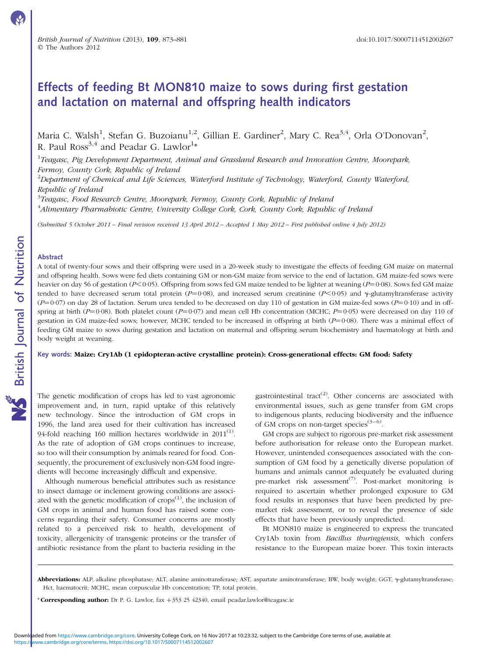# Effects of feeding Bt MON810 maize to sows during first gestation and lactation on maternal and offspring health indicators

Maria C. Walsh<sup>1</sup>, Stefan G. Buzoianu<sup>1,2</sup>, Gillian E. Gardiner<sup>2</sup>, Mary C. Rea<sup>3,4</sup>, Orla O'Donovan<sup>2</sup>, R. Paul Ross $^{3,4}$  and Peadar G. Lawlor $^{1\ast}$ 

<sup>1</sup>Teagasc, Pig Development Department, Animal and Grassland Research and Innovation Centre, Moorepark, Fermoy, County Cork, Republic of Ireland

 $^2$ Department of Chemical and Life Sciences, Waterford Institute of Technology, Waterford, County Waterford, Republic of Ireland

<sup>3</sup>Teagasc, Food Research Centre, Moorepark, Fermoy, County Cork, Republic of Ireland

<sup>4</sup>Alimentary Pharmabiotic Centre, University College Cork, Cork, County Cork, Republic of Ireland

(Submitted 5 October 2011 – Final revision received 13 April 2012 – Accepted 1 May 2012 – First published online 4 July 2012)

#### Abstract

A total of twenty-four sows and their offspring were used in a 20-week study to investigate the effects of feeding GM maize on maternal and offspring health. Sows were fed diets containing GM or non-GM maize from service to the end of lactation. GM maize-fed sows were heavier on day 56 of gestation ( $P < 0.05$ ). Offspring from sows fed GM maize tended to be lighter at weaning ( $P = 0.08$ ). Sows fed GM maize tended to have decreased serum total protein ( $P=0.08$ ), and increased serum creatinine ( $P<0.05$ ) and  $\gamma$ -glutamyltransferase activity  $(P=0.07)$  on day 28 of lactation. Serum urea tended to be decreased on day 110 of gestation in GM maize-fed sows  $(P=0.10)$  and in offspring at birth ( $P=0.08$ ). Both platelet count ( $P=0.07$ ) and mean cell Hb concentration (MCHC;  $P=0.05$ ) were decreased on day 110 of gestation in GM maize-fed sows; however, MCHC tended to be increased in offspring at birth  $(P=0.08)$ . There was a minimal effect of feeding GM maize to sows during gestation and lactation on maternal and offspring serum biochemistry and haematology at birth and body weight at weaning.

Key words: Maize: Cry1Ab (1 epidopteran-active crystalline protein): Cross-generational effects: GM food: Safety

The genetic modification of crops has led to vast agronomic improvement and, in turn, rapid uptake of this relatively new technology. Since the introduction of GM crops in 1996, the land area used for their cultivation has increased 94-fold reaching 160 million hectares worldwide in  $2011^{(1)}$ . As the rate of adoption of GM crops continues to increase, so too will their consumption by animals reared for food. Consequently, the procurement of exclusively non-GM food ingredients will become increasingly difficult and expensive.

Although numerous beneficial attributes such as resistance to insect damage or inclement growing conditions are associated with the genetic modification of  $\text{crops}^{(1)}$ , the inclusion of GM crops in animal and human food has raised some concerns regarding their safety. Consumer concerns are mostly related to a perceived risk to health, development of toxicity, allergenicity of transgenic proteins or the transfer of antibiotic resistance from the plant to bacteria residing in the

gastrointestinal tract<sup>(2)</sup>. Other concerns are associated with environmental issues, such as gene transfer from GM crops to indigenous plants, reducing biodiversity and the influence of GM crops on non-target species<sup>(3-6)</sup>.

GM crops are subject to rigorous pre-market risk assessment before authorisation for release onto the European market. However, unintended consequences associated with the consumption of GM food by a genetically diverse population of humans and animals cannot adequately be evaluated during pre-market risk assessment<sup>(7)</sup>. Post-market monitoring is required to ascertain whether prolonged exposure to GM food results in responses that have been predicted by premarket risk assessment, or to reveal the presence of side effects that have been previously unpredicted.

Bt MON810 maize is engineered to express the truncated Cry1Ab toxin from Bacillus thuringiensis, which confers resistance to the European maize borer. This toxin interacts

Abbreviations: ALP, alkaline phosphatase; ALT, alanine aminotransferase; AST, aspartate aminotransferase; BW, body weight; GGT,  $\gamma$ -glutamyltransferase; Hct, haematocrit; MCHC, mean corpuscular Hb concentration; TP, total protein.

\* Corresponding author: Dr P. G. Lawlor, fax  $+353$  25 42340, email peadar.lawlor@teagasc.ie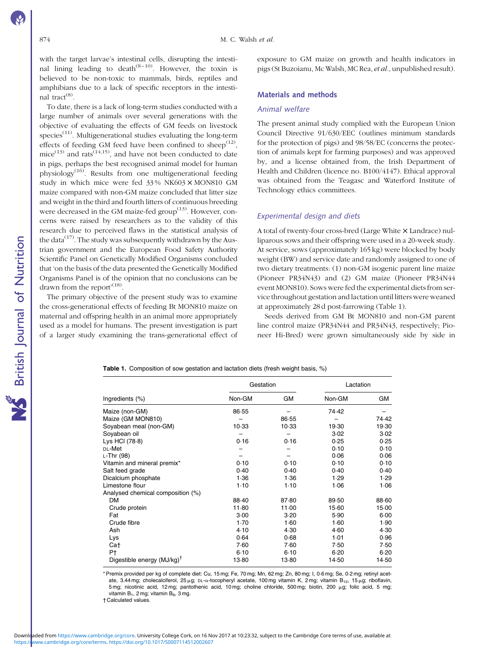<span id="page-2-0"></span>with the target larvae's intestinal cells, disrupting the intestinal lining leading to death $(8-10)$ . However, the toxin is believed to be non-toxic to mammals, birds, reptiles and amphibians due to a lack of specific receptors in the intestinal tract<sup>(8)</sup>.

To date, there is a lack of long-term studies conducted with a large number of animals over several generations with the objective of evaluating the effects of GM feeds on livestock species<sup> $(11)$ </sup>. Multigenerational studies evaluating the long-term effects of feeding GM feed have been confined to sheep<sup>(12)</sup>, mice<sup>(13)</sup> and rats<sup>(14,15)</sup>, and have not been conducted to date in pigs, perhaps the best recognised animal model for human physiology<sup>(16)</sup>. Results from one multigenerational feeding study in which mice were fed 33% NK603 × MON810 GM maize compared with non-GM maize concluded that litter size and weight in the third and fourth litters of continuous breeding were decreased in the GM maize-fed group<sup> $(13)$ </sup>. However, concerns were raised by researchers as to the validity of this research due to perceived flaws in the statistical analysis of the data $^{(17)}$ . The study was subsequently withdrawn by the Austrian government and the European Food Safety Authority Scientific Panel on Genetically Modified Organisms concluded that 'on the basis of the data presented the Genetically Modified Organisms Panel is of the opinion that no conclusions can be drawn from the report<sup> $(18)$ </sup>.

The primary objective of the present study was to examine the cross-generational effects of feeding Bt MON810 maize on maternal and offspring health in an animal more appropriately used as a model for humans. The present investigation is part of a larger study examining the trans-generational effect of

exposure to GM maize on growth and health indicators in pigs (St Buzoianu, Mc Walsh, MC Rea, et al., unpublished result).

### Materials and methods

#### Animal welfare

The present animal study complied with the European Union Council Directive 91/630/EEC (outlines minimum standards for the protection of pigs) and 98/58/EC (concerns the protection of animals kept for farming purposes) and was approved by, and a license obtained from, the Irish Department of Health and Children (licence no. B100/4147). Ethical approval was obtained from the Teagasc and Waterford Institute of Technology ethics committees.

#### Experimental design and diets

A total of twenty-four cross-bred (Large White  $\times$  Landrace) nulliparous sows and their offspring were used in a 20-week study. At service, sows (approximately 165 kg) were blocked by body weight (BW) and service date and randomly assigned to one of two dietary treatments: (1) non-GM isogenic parent line maize (Pioneer PR34N43) and (2) GM maize (Pioneer PR34N44 event MON810). Sows were fed the experimental diets from service throughout gestation and lactation until litters were weaned at approximately 28 d post-farrowing (Table 1).

Seeds derived from GM Bt MON810 and non-GM parent line control maize (PR34N44 and PR34N43, respectively; Pioneer Hi-Bred) were grown simultaneously side by side in

#### Table 1. Composition of sow gestation and lactation diets (fresh weight basis, %)

|                                        | Gestation |         | Lactation |          |  |
|----------------------------------------|-----------|---------|-----------|----------|--|
| Ingredients (%)                        | Non-GM    | GM      | Non-GM    | GM.      |  |
| Maize (non-GM)                         | 86.55     |         | 74.42     |          |  |
| Maize (GM MON810)                      |           | 86.55   |           | 74.42    |  |
| Soyabean meal (non-GM)                 | 10.33     | 10.33   | 19.30     | 19.30    |  |
| Soyabean oil                           |           |         | 3.02      | 3.02     |  |
| Lys HCI $(78.8)$                       | 0.16      | 0.16    | 0.25      | 0.25     |  |
| DL-Met                                 |           |         | 0.10      | 0.10     |  |
| L-Thr (98)                             |           |         | 0.06      | 0.06     |  |
| Vitamin and mineral premix*            | 0.10      | 0.10    | 0.10      | 0.10     |  |
| Salt feed grade                        | 0.40      | 0.40    | 0.40      | 0.40     |  |
| Dicalcium phosphate                    | 1.36      | 1.36    | 1.29      | 1.29     |  |
| Limestone flour                        | $1-10$    | $1-10$  | 1.06      | 1.06     |  |
| Analysed chemical composition (%)      |           |         |           |          |  |
| <b>DM</b>                              | 88-40     | 87.80   | 89.50     | 88.60    |  |
| Crude protein                          | $11-80$   | 11.00   | 15.60     | $15-00$  |  |
| Fat                                    | $3-00$    | $3-20$  | 5.90      | $6 - 00$ |  |
| Crude fibre                            | $1-70$    | $1-60$  | 1.60      | 1.90     |  |
| Ash                                    | 4.10      | 4.30    | 4.60      | 4.30     |  |
| Lys                                    | 0.64      | 0.68    | 1.01      | 0.96     |  |
| Ca†                                    | 7.60      | 7.60    | 7.50      | 7.50     |  |
| Pt                                     | 6.10      | 6.10    | $6-20$    | $6 - 20$ |  |
| Digestible energy (MJ/kg) <sup>†</sup> | $13-80$   | $13-80$ | 14.50     | 14.50    |  |

\* Premix provided per kg of complete diet: Cu, 15 mg; Fe, 70 mg; Mn, 62 mg; Zn, 80 mg; I, 0·6 mg; Se, 0·2 mg; retinyl acetate, 3.44 mg; cholecalciferol, 25 µg; DL-a-tocopheryl acetate, 100 mg vitamin K, 2 mg; vitamin B<sub>12</sub>, 15 µg; riboflavin, 5 mg; nicotinic acid, 12 mg; pantothenic acid, 10 mg; choline chloride, 500 mg; biotin, 200 mg; folic acid, 5 mg; vitamin  $B_1$ , 2 mg; vitamin  $B_6$ , 3 mg.

† Calculated values.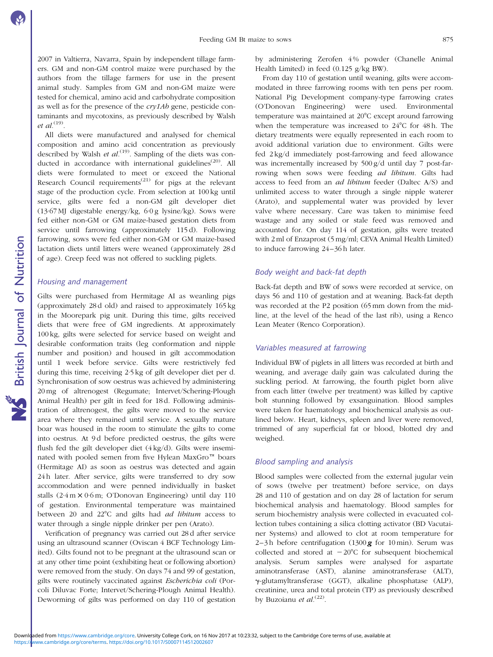2007 in Valtierra, Navarra, Spain by independent tillage farmers. GM and non-GM control maize were purchased by the authors from the tillage farmers for use in the present animal study. Samples from GM and non-GM maize were tested for chemical, amino acid and carbohydrate composition as well as for the presence of the cry1Ab gene, pesticide contaminants and mycotoxins, as previously described by Walsh  $et \, al^{(19)}$ 

All diets were manufactured and analysed for chemical composition and amino acid concentration as previously described by Walsh et  $al$ .<sup>(19)</sup>. Sampling of the diets was conducted in accordance with international guidelines<sup> $(20)$ </sup>. All diets were formulated to meet or exceed the National Research Council requirements<sup>(21)</sup> for pigs at the relevant stage of the production cycle. From selection at 100 kg until service, gilts were fed a non-GM gilt developer diet (13·67 MJ digestable energy/kg, 6·0 g lysine/kg). Sows were fed either non-GM or GM maize-based gestation diets from service until farrowing (approximately 115 d). Following farrowing, sows were fed either non-GM or GM maize-based lactation diets until litters were weaned (approximately 28 d of age). Creep feed was not offered to suckling piglets.

#### Housing and management

Gilts were purchased from Hermitage AI as weanling pigs (approximately 28 d old) and raised to approximately 165 kg in the Moorepark pig unit. During this time, gilts received diets that were free of GM ingredients. At approximately 100 kg, gilts were selected for service based on weight and desirable conformation traits (leg conformation and nipple number and position) and housed in gilt accommodation until 1 week before service. Gilts were restrictively fed during this time, receiving 2·5 kg of gilt developer diet per d. Synchronisation of sow oestrus was achieved by administering 20 mg of altrenogest (Regumate; Intervet/Schering-Plough Animal Health) per gilt in feed for 18 d. Following administration of altrenogest, the gilts were moved to the service area where they remained until service. A sexually mature boar was housed in the room to stimulate the gilts to come into oestrus. At 9 d before predicted oestrus, the gilts were flush fed the gilt developer diet (4 kg/d). Gilts were inseminated with pooled semen from five Hylean MaxGro™ boars (Hermitage AI) as soon as oestrus was detected and again 24 h later. After service, gilts were transferred to dry sow accommodation and were penned individually in basket stalls  $(2.4 \text{ m} \times 0.6 \text{ m}$ ; O'Donovan Engineering) until day 110 of gestation. Environmental temperature was maintained between 20 and  $22^{\circ}$ C and gilts had *ad libitum* access to water through a single nipple drinker per pen (Arato).

Verification of pregnancy was carried out 28 d after service using an ultrasound scanner (Oviscan 4 BCF Technology Limited). Gilts found not to be pregnant at the ultrasound scan or at any other time point (exhibiting heat or following abortion) were removed from the study. On days 74 and 99 of gestation, gilts were routinely vaccinated against Escherichia coli (Porcoli Diluvac Forte; Intervet/Schering-Plough Animal Health). Deworming of gilts was performed on day 110 of gestation

by administering Zerofen 4% powder (Chanelle Animal Health Limited) in feed (0.125 g/kg BW).

From day 110 of gestation until weaning, gilts were accommodated in three farrowing rooms with ten pens per room. National Pig Development company-type farrowing crates (O'Donovan Engineering) were used. Environmental temperature was maintained at  $20^{\circ}$ C except around farrowing when the temperature was increased to 24°C for 48 h. The dietary treatments were equally represented in each room to avoid additional variation due to environment. Gilts were fed 2 kg/d immediately post-farrowing and feed allowance was incrementally increased by 500 g/d until day 7 post-farrowing when sows were feeding ad libitum. Gilts had access to feed from an ad libitum feeder (Daltec A/S) and unlimited access to water through a single nipple waterer (Arato), and supplemental water was provided by lever valve where necessary. Care was taken to minimise feed wastage and any soiled or stale feed was removed and accounted for. On day 114 of gestation, gilts were treated with 2 ml of Enzaprost (5 mg/ml; CEVA Animal Health Limited) to induce farrowing 24–36 h later.

#### Body weight and back-fat depth

Back-fat depth and BW of sows were recorded at service, on days 56 and 110 of gestation and at weaning. Back-fat depth was recorded at the P2 position (65 mm down from the midline, at the level of the head of the last rib), using a Renco Lean Meater (Renco Corporation).

#### Variables measured at farrowing

Individual BW of piglets in all litters was recorded at birth and weaning, and average daily gain was calculated during the suckling period. At farrowing, the fourth piglet born alive from each litter (twelve per treatment) was killed by captive bolt stunning followed by exsanguination. Blood samples were taken for haematology and biochemical analysis as outlined below. Heart, kidneys, spleen and liver were removed, trimmed of any superficial fat or blood, blotted dry and weighed.

#### Blood sampling and analysis

Blood samples were collected from the external jugular vein of sows (twelve per treatment) before service, on days 28 and 110 of gestation and on day 28 of lactation for serum biochemical analysis and haematology. Blood samples for serum biochemistry analysis were collected in evacuated collection tubes containing a silica clotting activator (BD Vacutainer Systems) and allowed to clot at room temperature for 2–3 h before centrifugation (1300 *g* for 10 min). Serum was collected and stored at  $-20^{\circ}$ C for subsequent biochemical analysis. Serum samples were analysed for aspartate aminotransferase (AST), alanine aminotransferase (ALT), g-glutamyltransferase (GGT), alkaline phosphatase (ALP), creatinine, urea and total protein (TP) as previously described by Buzoianu et  $al^{(22)}$ .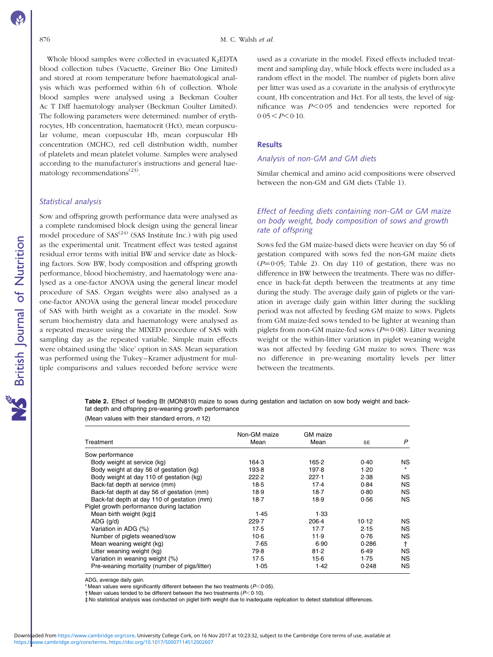Whole blood samples were collected in evacuated K<sub>2</sub>EDTA blood collection tubes (Vacuette, Greiner Bio One Limited) and stored at room temperature before haematological analysis which was performed within 6h of collection. Whole blood samples were analysed using a Beckman Coulter Ac T Diff haematology analyser (Beckman Coulter Limited). The following parameters were determined: number of erythrocytes, Hb concentration, haematocrit (Hct), mean corpuscular volume, mean corpuscular Hb, mean corpuscular Hb concentration (MCHC), red cell distribution width, number of platelets and mean platelet volume. Samples were analysed according to the manufacturer's instructions and general haematology recommendations $^{(23)}$ .

#### Statistical analysis

Sow and offspring growth performance data were analysed as a complete randomised block design using the general linear model procedure of  $SAS^{(24)}$  (SAS Institute Inc.) with pig used as the experimental unit. Treatment effect was tested against residual error terms with initial BW and service date as blocking factors. Sow BW, body composition and offspring growth performance, blood biochemistry, and haematology were analysed as a one-factor ANOVA using the general linear model procedure of SAS. Organ weights were also analysed as a one-factor ANOVA using the general linear model procedure of SAS with birth weight as a covariate in the model. Sow serum biochemistry data and haematology were analysed as a repeated measure using the MIXED procedure of SAS with sampling day as the repeated variable. Simple main effects were obtained using the 'slice' option in SAS. Mean separation was performed using the Tukey–Kramer adjustment for multiple comparisons and values recorded before service were

used as a covariate in the model. Fixed effects included treatment and sampling day, while block effects were included as a random effect in the model. The number of piglets born alive per litter was used as a covariate in the analysis of erythrocyte count, Hb concentration and Hct. For all tests, the level of significance was  $P<0.05$  and tendencies were reported for  $0.05 < P < 0.10$ .

#### Results

#### Analysis of non-GM and GM diets

Similar chemical and amino acid compositions were observed between the non-GM and GM diets ([Table 1\)](#page-2-0).

### Effect of feeding diets containing non-GM or GM maize on body weight, body composition of sows and growth rate of offspring

Sows fed the GM maize-based diets were heavier on day 56 of gestation compared with sows fed the non-GM maize diets  $(P=0.05;$  Table 2). On day 110 of gestation, there was no difference in BW between the treatments. There was no difference in back-fat depth between the treatments at any time during the study. The average daily gain of piglets or the variation in average daily gain within litter during the suckling period was not affected by feeding GM maize to sows. Piglets from GM maize-fed sows tended to be lighter at weaning than piglets from non-GM maize-fed sows  $(P=0.08)$ . Litter weaning weight or the within-litter variation in piglet weaning weight was not affected by feeding GM maize to sows. There was no difference in pre-weaning mortality levels per litter between the treatments.

Table 2. Effect of feeding Bt (MON810) maize to sows during gestation and lactation on sow body weight and backfat depth and offspring pre-weaning growth performance (Mean values with their standard errors,  $n$  12)

| Treatment                                     | Non-GM maize<br>Mean | GM maize<br>Mean | SE     | P         |
|-----------------------------------------------|----------------------|------------------|--------|-----------|
| Sow performance                               |                      |                  |        |           |
| Body weight at service (kg)                   | 164.3                | 165.2            | 0.40   | <b>NS</b> |
| Body weight at day 56 of gestation (kg)       | 193.8                | 197-8            | 1.20   | $\star$   |
| Body weight at day 110 of gestation (kg)      | 222.2                | 227.1            | 2.38   | <b>NS</b> |
| Back-fat depth at service (mm)                | $18-5$               | 17.4             | 0.84   | <b>NS</b> |
| Back-fat depth at day 56 of gestation (mm)    | 18.9                 | 18.7             | 0.80   | <b>NS</b> |
| Back-fat depth at day 110 of gestation (mm)   | $18-7$               | 18.9             | 0.56   | <b>NS</b> |
| Piglet growth performance during lactation    |                      |                  |        |           |
| Mean birth weight (kg)‡                       | 1.45                 | 1.33             |        |           |
| $ADG$ ( $q/d$ )                               | 229.7                | 206-4            | 10.12  | <b>NS</b> |
| Variation in ADG (%)                          | 17.5                 | 17.7             | 2.15   | <b>NS</b> |
| Number of piglets weaned/sow                  | $10-6$               | 11.9             | 0.76   | <b>NS</b> |
| Mean weaning weight (kg)                      | 7.65                 | 6.90             | 0.286  | t         |
| Litter weaning weight (kg)                    | 79.8                 | 81.2             | 6.49   | <b>NS</b> |
| Variation in weaning weight (%)               | 17.5                 | 15.6             | $1-75$ | <b>NS</b> |
| Pre-weaning mortality (number of pigs/litter) | 1.05                 | 1.42             | 0.248  | <b>NS</b> |

ADG, average daily gain.

\* Mean values were significantly different between the two treatments ( $P<0.05$ ).

 $\dagger$  Mean values tended to be different between the two treatments ( $P < 0.10$ ).

‡ No statistical analysis was conducted on piglet birth weight due to inadequate replication to detect statistical differences.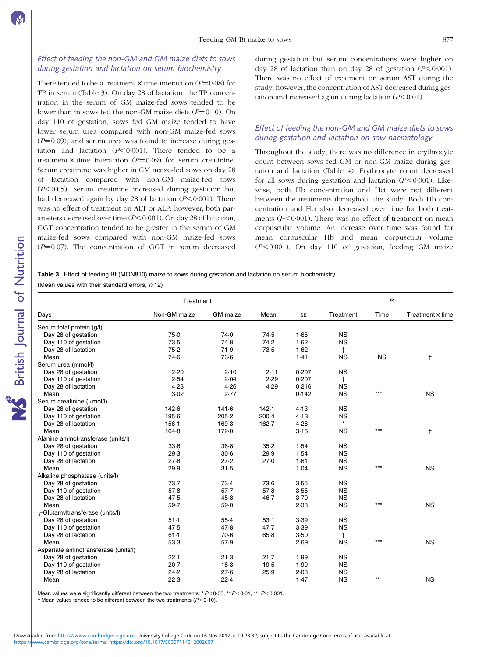British Journal of Nutrition

**S** British Journal of Nutrition

### Effect of feeding the non-GM and GM maize diets to sows during gestation and lactation on serum biochemistry

There tended to be a treatment  $\times$  time interaction ( $P=0.08$ ) for TP in serum (Table 3). On day 28 of lactation, the TP concentration in the serum of GM maize-fed sows tended to be lower than in sows fed the non-GM maize diets  $(P=0.10)$ . On day 110 of gestation, sows fed GM maize tended to have lower serum urea compared with non-GM maize-fed sows  $(P=0.09)$ , and serum urea was found to increase during gestation and lactation  $(P<0.001)$ . There tended to be a treatment  $\times$  time interaction ( $P=0.09$ ) for serum creatinine. Serum creatinine was higher in GM maize-fed sows on day 28 of lactation compared with non-GM maize-fed sows  $(P<0.05)$ . Serum creatinine increased during gestation but had decreased again by day 28 of lactation  $(P<0.001)$ . There was no effect of treatment on ALT or ALP; however, both parameters decreased over time  $(P<0.001)$ . On day 28 of lactation, GGT concentration tended to be greater in the serum of GM maize-fed sows compared with non-GM maize-fed sows  $(P=0.07)$ . The concentration of GGT in serum decreased

during gestation but serum concentrations were higher on day 28 of lactation than on day 28 of gestation  $(P<0.001)$ . There was no effect of treatment on serum AST during the study; however, the concentration of AST decreased during gestation and increased again during lactation  $(P<0.01)$ .

#### Effect of feeding the non-GM and GM maize diets to sows during gestation and lactation on sow haematology

Throughout the study, there was no difference in erythrocyte count between sows fed GM or non-GM maize during gestation and lactation ([Table 4](#page-6-0)). Erythrocyte count decreased for all sows during gestation and lactation  $(P<0.001)$ . Likewise, both Hb concentration and Hct were not different between the treatments throughout the study. Both Hb concentration and Hct also decreased over time for both treatments ( $P < 0.001$ ). There was no effect of treatment on mean corpuscular volume. An increase over time was found for mean corpuscular Hb and mean corpuscular volume  $(P<0.001)$ . On day 110 of gestation, feeding GM maize

Table 3. Effect of feeding Bt (MON810) maize to sows during gestation and lactation on serum biochemistry (Mean values with their standard errors,  $n$  12)

|                                         | Treatment    |          |          |           | $\mathsf{P}$ |           |                         |
|-----------------------------------------|--------------|----------|----------|-----------|--------------|-----------|-------------------------|
| Days                                    | Non-GM maize | GM maize | Mean     | <b>SE</b> | Treatment    | Time      | Treatment $\times$ time |
| Serum total protein (g/l)               |              |          |          |           |              |           |                         |
| Day 28 of gestation                     | 75.0         | 74.0     | 74.5     | 1.65      | <b>NS</b>    |           |                         |
| Day 110 of gestation                    | 73.5         | 74.8     | 74.2     | 1.62      | <b>NS</b>    |           |                         |
| Day 28 of lactation                     | 75.2         | 71.9     | 73.5     | 1.62      | $\ddagger$   |           |                         |
| Mean                                    | 74.6         | 73.6     |          | 1.41      | <b>NS</b>    | <b>NS</b> | $\mathsf{t}$            |
| Serum urea (mmol/l)                     |              |          |          |           |              |           |                         |
| Day 28 of gestation                     | 2.20         | 2.10     | 2.11     | 0.207     | <b>NS</b>    |           |                         |
| Day 110 of gestation                    | 2.54         | 2.04     | 2.29     | 0.207     | $^{\dagger}$ |           |                         |
| Day 28 of lactation                     | 4.23         | 4.26     | 4.29     | 0.216     | <b>NS</b>    |           |                         |
| Mean                                    | 3.02         | 2.77     |          | 0.142     | <b>NS</b>    | $***$     | <b>NS</b>               |
| Serum creatinine (µmol/l)               |              |          |          |           |              |           |                         |
| Day 28 of gestation                     | 142.6        | 141.6    | 142.1    | 4.13      | <b>NS</b>    |           |                         |
| Day 110 of gestation                    | 195.6        | 205.2    | $200-4$  | 4.13      | <b>NS</b>    |           |                         |
| Day 28 of lactation                     | $156-1$      | 169.3    | 162.7    | 4.28      | $\star$      |           |                         |
| Mean                                    | 164.8        | 172.0    |          | 3.15      | <b>NS</b>    | $***$     | $\ddagger$              |
| Alanine aminotransferase (units/l)      |              |          |          |           |              |           |                         |
| Day 28 of gestation                     | 33.6         | $36-8$   | 35.2     | 1.54      | <b>NS</b>    |           |                         |
| Day 110 of gestation                    | 29.3         | $30-6$   | 29.9     | 1.54      | <b>NS</b>    |           |                         |
| Day 28 of lactation                     | 27.8         | 27.2     | 27.0     | 1.61      | <b>NS</b>    |           |                         |
| Mean                                    | 29.9         | 31.5     |          | 1.04      | <b>NS</b>    | $***$     | <b>NS</b>               |
| Alkaline phosphatase (units/l)          |              |          |          |           |              |           |                         |
| Day 28 of gestation                     | 73.7         | 73.4     | 73.6     | 3.55      | <b>NS</b>    |           |                         |
| Day 110 of gestation                    | 57.8         | 57.7     | 57.8     | 3.55      | <b>NS</b>    |           |                         |
| Day 28 of lactation                     | 47.5         | 45.8     | $46 - 7$ | 3.70      | <b>NS</b>    |           |                         |
| Mean                                    | 59.7         | 59.0     |          | 2.38      | <b>NS</b>    | $***$     | <b>NS</b>               |
| $\gamma$ -Glutamyltransferase (units/l) |              |          |          |           |              |           |                         |
| Day 28 of gestation                     | $51-1$       | $55-4$   | $53-1$   | 3.39      | <b>NS</b>    |           |                         |
| Day 110 of gestation                    | 47.5         | 47.8     | 47.7     | 3.39      | <b>NS</b>    |           |                         |
| Day 28 of lactation                     | $61-1$       | $70-6$   | $65 - 8$ | 3.50      | $\ddagger$   |           |                         |
| Mean                                    | 53.3         | 57.9     |          | 2.69      | <b>NS</b>    | $***$     | <b>NS</b>               |
| Aspartate aminotransferase (units/l)    |              |          |          |           |              |           |                         |
| Day 28 of gestation                     | 22.1         | 21.3     | $21-7$   | 1.99      | <b>NS</b>    |           |                         |
| Day 110 of gestation                    | 20.7         | 18.3     | 19.5     | 1.99      | <b>NS</b>    |           |                         |
| Day 28 of lactation                     | 24.2         | 27.6     | 25.9     | 2.08      | <b>NS</b>    |           |                         |
| Mean                                    | 22.3         | 22.4     |          | 1.47      | <b>NS</b>    | $***$     | <b>NS</b>               |

Mean values were significantly different between the two treatments:  $*P < 0.05$ ,  $**P < 0.01$ ,  $**P < 0.001$ .

 $\dagger$  Mean values tended to be different between the two treatments ( $P$ < 0.10).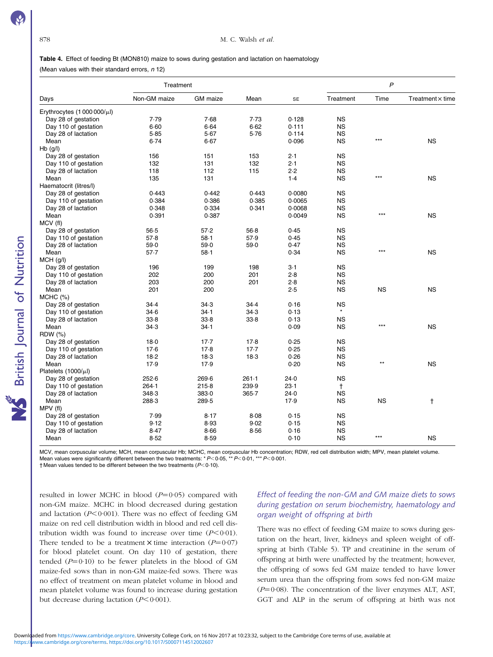#### <span id="page-6-0"></span>Table 4. Effect of feeding Bt (MON810) maize to sows during gestation and lactation on haematology

(Mean values with their standard errors,  $n$  12)

|                                | Treatment    |                 |           |           |            | $\mathsf{P}$ |                         |
|--------------------------------|--------------|-----------------|-----------|-----------|------------|--------------|-------------------------|
| Days                           | Non-GM maize | <b>GM</b> maize | Mean      | <b>SE</b> | Treatment  | Time         | Treatment $\times$ time |
| Erythrocytes $(1000000/\mu l)$ |              |                 |           |           |            |              |                         |
| Day 28 of gestation            | 7.79         | 7.68            | 7.73      | 0.128     | <b>NS</b>  |              |                         |
| Day 110 of gestation           | $6 - 60$     | 6.64            | 6.62      | 0.111     | <b>NS</b>  |              |                         |
| Day 28 of lactation            | 5.85         | 5.67            | 5.76      | 0.114     | <b>NS</b>  |              |                         |
| Mean                           | 6.74         | 6.67            |           | 0.096     | <b>NS</b>  | $***$        | <b>NS</b>               |
| $Hb$ (g/l)                     |              |                 |           |           |            |              |                         |
| Day 28 of gestation            | 156          | 151             | 153       | $2-1$     | <b>NS</b>  |              |                         |
| Day 110 of gestation           | 132          | 131             | 132       | 2.1       | <b>NS</b>  |              |                         |
| Day 28 of lactation            | 118          | 112             | 115       | 2.2       | <b>NS</b>  |              |                         |
| Mean                           | 135          | 131             |           | 1.4       | <b>NS</b>  | $***$        | <b>NS</b>               |
| Haematocrit (litres/l)         |              |                 |           |           |            |              |                         |
| Day 28 of gestation            | 0.443        | 0.442           | 0.443     | 0.0080    | <b>NS</b>  |              |                         |
| Day 110 of gestation           | 0.384        | 0.386           | 0.385     | 0.0065    | <b>NS</b>  |              |                         |
| Day 28 of lactation            | 0.348        | 0.334           | 0.341     | 0.0068    | <b>NS</b>  |              |                         |
| Mean                           | 0.391        | 0.387           |           | 0.0049    | <b>NS</b>  | ***          | <b>NS</b>               |
| MCV (fl)                       |              |                 |           |           |            |              |                         |
| Day 28 of gestation            | $56-5$       | 57.2            | $56-8$    | 0.45      | <b>NS</b>  |              |                         |
| Day 110 of gestation           | 57.8         | $58 - 1$        | 57.9      | 0.45      | <b>NS</b>  |              |                         |
| Day 28 of lactation            | 59.0         | 59.0            | 59.0      | 0.47      | <b>NS</b>  |              |                         |
| Mean                           | $57 - 7$     | $58 - 1$        |           | 0.34      | <b>NS</b>  | $***$        | <b>NS</b>               |
| MCH (g/l)                      |              |                 |           |           |            |              |                         |
| Day 28 of gestation            | 196          | 199             | 198       | $3-1$     | <b>NS</b>  |              |                         |
| Day 110 of gestation           | 202          | 200             | 201       | 2.8       | <b>NS</b>  |              |                         |
| Day 28 of lactation            | 203          | 200             | 201       | 2.8       | <b>NS</b>  |              |                         |
| Mean                           | 201          | 200             |           | 2.5       | <b>NS</b>  | <b>NS</b>    | <b>NS</b>               |
| MCHC (%)                       |              |                 |           |           |            |              |                         |
| Day 28 of gestation            | 34.4         | 34.3            | 34.4      | 0.16      | <b>NS</b>  |              |                         |
| Day 110 of gestation           | $34-6$       | 34.1            | 34.3      | 0.13      | $\star$    |              |                         |
| Day 28 of lactation            | 33.8         | 33.8            | 33.8      | 0.13      | <b>NS</b>  |              |                         |
| Mean                           | 34.3         | $34-1$          |           | 0.09      | <b>NS</b>  | $***$        | <b>NS</b>               |
| RDW (%)                        |              |                 |           |           |            |              |                         |
| Day 28 of gestation            | $18-0$       | $17-7$          | 17.8      | 0.25      | <b>NS</b>  |              |                         |
| Day 110 of gestation           | $17-6$       | 17.8            | $17-7$    | 0.25      | <b>NS</b>  |              |                         |
| Day 28 of lactation            | 18.2         | $18-3$          | $18-3$    | 0.26      | <b>NS</b>  |              |                         |
| Mean                           | 17.9         | 17.9            |           | 0.20      | <b>NS</b>  | $\star\star$ | <b>NS</b>               |
| Platelets (1000/µl)            |              |                 |           |           |            |              |                         |
| Day 28 of gestation            | 252.6        | 269.6           | $261-1$   | 24.0      | <b>NS</b>  |              |                         |
| Day 110 of gestation           | $264 - 1$    | 215.8           | 239.9     | $23-1$    | $\ddagger$ |              |                         |
| Day 28 of lactation            | 348.3        | 383.0           | $365 - 7$ | 24.0      | <b>NS</b>  |              |                         |
| Mean                           | 288-3        | 289.5           |           | 17.9      | <b>NS</b>  | <b>NS</b>    | $\ddagger$              |
| MPV (fl)                       |              |                 |           |           |            |              |                         |
| Day 28 of gestation            | 7.99         | 8.17            | 8.08      | 0.15      | <b>NS</b>  |              |                         |
| Day 110 of gestation           | 9.12         | 8.93            | 9.02      | 0.15      | <b>NS</b>  |              |                         |
| Day 28 of lactation            | 8.47         | 8.66            | 8.56      | 0.16      | <b>NS</b>  |              |                         |
| Mean                           | 8.52         | 8.59            |           | 0.10      | <b>NS</b>  | ***          | <b>NS</b>               |
|                                |              |                 |           |           |            |              |                         |

MCV, mean corpuscular volume; MCH, mean corpuscular Hb; MCHC, mean corpuscular Hb concentration; RDW, red cell distribution width; MPV, mean platelet volume.<br>Mean values were significantly different between the two treatme  $\dagger$  Mean values tended to be different between the two treatments ( $P < 0.10$ ).

resulted in lower MCHC in blood  $(P=0.05)$  compared with non-GM maize. MCHC in blood decreased during gestation and lactation ( $P<0.001$ ). There was no effect of feeding GM maize on red cell distribution width in blood and red cell distribution width was found to increase over time  $(P<0.01)$ . There tended to be a treatment  $\times$  time interaction ( $P=0.07$ ) for blood platelet count. On day 110 of gestation, there tended  $(P=0.10)$  to be fewer platelets in the blood of GM maize-fed sows than in non-GM maize-fed sows. There was no effect of treatment on mean platelet volume in blood and mean platelet volume was found to increase during gestation but decrease during lactation  $(P<0.001)$ .

### Effect of feeding the non-GM and GM maize diets to sows during gestation on serum biochemistry, haematology and organ weight of offspring at birth

There was no effect of feeding GM maize to sows during gestation on the heart, liver, kidneys and spleen weight of offspring at birth [\(Table 5](#page-7-0)). TP and creatinine in the serum of offspring at birth were unaffected by the treatment; however, the offspring of sows fed GM maize tended to have lower serum urea than the offspring from sows fed non-GM maize  $(P=0.08)$ . The concentration of the liver enzymes ALT, AST, GGT and ALP in the serum of offspring at birth was not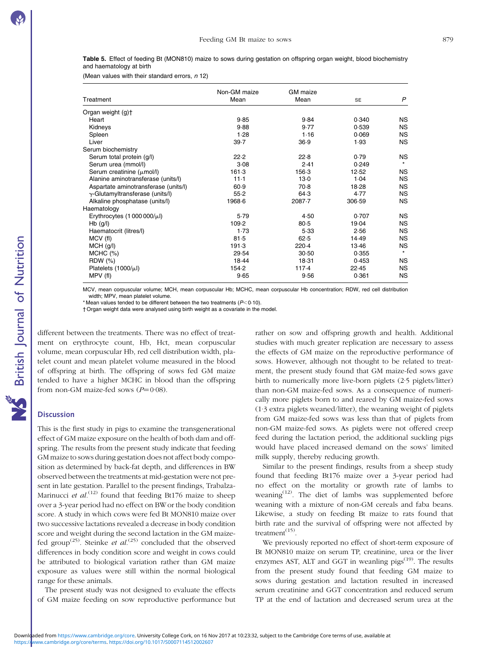<span id="page-7-0"></span>Table 5. Effect of feeding Bt (MON810) maize to sows during gestation on offspring organ weight, blood biochemistry and haematology at birth

(Mean values with their standard errors,  $n$  12)

|                                      | Non-GM maize | <b>GM</b> maize |           |           |
|--------------------------------------|--------------|-----------------|-----------|-----------|
| Treatment                            | Mean         | Mean            | <b>SE</b> | P         |
| Organ weight (g)+                    |              |                 |           |           |
| Heart                                | 9.85         | 9.84            | 0.340     | NS.       |
| Kidneys                              | 9.88         | 9.77            | 0.539     | <b>NS</b> |
| Spleen                               | 1.28         | 1.16            | 0.069     | <b>NS</b> |
| Liver                                | 39.7         | 36.9            | 1.93      | NS.       |
| Serum biochemistry                   |              |                 |           |           |
| Serum total protein (g/l)            | 22.2         | 22.8            | 0.79      | <b>NS</b> |
| Serum urea (mmol/l)                  | $3-08$       | 2.41            | 0.249     | $\star$   |
| Serum creatinine ( $\mu$ mol/I)      | 161.3        | $156-3$         | 12.52     | NS.       |
| Alanine aminotransferase (units/l)   | $11-1$       | $13-0$          | 1.04      | <b>NS</b> |
| Aspartate aminotransferase (units/l) | 60.9         | $70-8$          | 18-28     | NS.       |
| y-Glutamyltransferase (units/l)      | $55-2$       | 64.3            | 4.77      | <b>NS</b> |
| Alkaline phosphatase (units/l)       | 1968-6       | 2087.7          | 306-59    | <b>NS</b> |
| Haematology                          |              |                 |           |           |
| Erythrocytes $(1000000/\mu l)$       | 5.79         | 4.50            | 0.707     | NS.       |
| $Hb$ (g/l)                           | 109.2        | $80 - 5$        | 19.04     | <b>NS</b> |
| Haematocrit (litres/l)               | 1.73         | 5.33            | 2.56      | <b>NS</b> |
| MCV (fl)                             | 81.5         | 62.5            | 14.49     | <b>NS</b> |
| $MCH$ (g/l)                          | 191.3        | 220-4           | 13-46     | <b>NS</b> |
| $MCHC$ $(\%)$                        | 29.54        | 30.50           | 0.355     | $\star$   |
| <b>RDW</b> (%)                       | 18.44        | $18-31$         | 0.453     | NS.       |
| Platelets (1000/µl)                  | 154.2        | 117.4           | 22.45     | <b>NS</b> |
| MPV (fl)                             | 9.65         | 9.56            | 0.361     | NS.       |

MCV, mean corpuscular volume; MCH, mean corpuscular Hb; MCHC, mean corpuscular Hb concentration; RDW, red cell distribution width; MPV, mean platelet volume.

Mean values tended to be different between the two treatments ( $P < 0.10$ ).

† Organ weight data were analysed using birth weight as a covariate in the model.

different between the treatments. There was no effect of treatment on erythrocyte count, Hb, Hct, mean corpuscular volume, mean corpuscular Hb, red cell distribution width, platelet count and mean platelet volume measured in the blood of offspring at birth. The offspring of sows fed GM maize tended to have a higher MCHC in blood than the offspring from non-GM maize-fed sows  $(P=0.08)$ .

#### **Discussion**

This is the first study in pigs to examine the transgenerational effect of GM maize exposure on the health of both dam and offspring. The results from the present study indicate that feeding GM maize to sows during gestation does not affect body composition as determined by back-fat depth, and differences in BW observed between the treatments at mid-gestation were not present in late gestation. Parallel to the present findings, Trabalza-Marinucci et  $al^{(12)}$  found that feeding Bt176 maize to sheep over a 3-year period had no effect on BWor the body condition score. A study in which cows were fed Bt MON810 maize over two successive lactations revealed a decrease in body condition score and weight during the second lactation in the GM maizefed group<sup>(25)</sup>. Steinke et al.<sup>(25)</sup> concluded that the observed differences in body condition score and weight in cows could be attributed to biological variation rather than GM maize exposure as values were still within the normal biological range for these animals.

The present study was not designed to evaluate the effects of GM maize feeding on sow reproductive performance but rather on sow and offspring growth and health. Additional studies with much greater replication are necessary to assess the effects of GM maize on the reproductive performance of sows. However, although not thought to be related to treatment, the present study found that GM maize-fed sows gave birth to numerically more live-born piglets (2·5 piglets/litter) than non-GM maize-fed sows. As a consequence of numerically more piglets born to and reared by GM maize-fed sows (1·3 extra piglets weaned/litter), the weaning weight of piglets from GM maize-fed sows was less than that of piglets from non-GM maize-fed sows. As piglets were not offered creep feed during the lactation period, the additional suckling pigs would have placed increased demand on the sows' limited milk supply, thereby reducing growth.

Similar to the present findings, results from a sheep study found that feeding Bt176 maize over a 3-year period had no effect on the mortality or growth rate of lambs to weaning $^{(12)}$ . The diet of lambs was supplemented before weaning with a mixture of non-GM cereals and faba beans. Likewise, a study on feeding Bt maize to rats found that birth rate and the survival of offspring were not affected by treatment $^{(15)}$ .

We previously reported no effect of short-term exposure of Bt MON810 maize on serum TP, creatinine, urea or the liver enzymes AST, ALT and GGT in weanling  $pigs^{(19)}$ . The results from the present study found that feeding GM maize to sows during gestation and lactation resulted in increased serum creatinine and GGT concentration and reduced serum TP at the end of lactation and decreased serum urea at the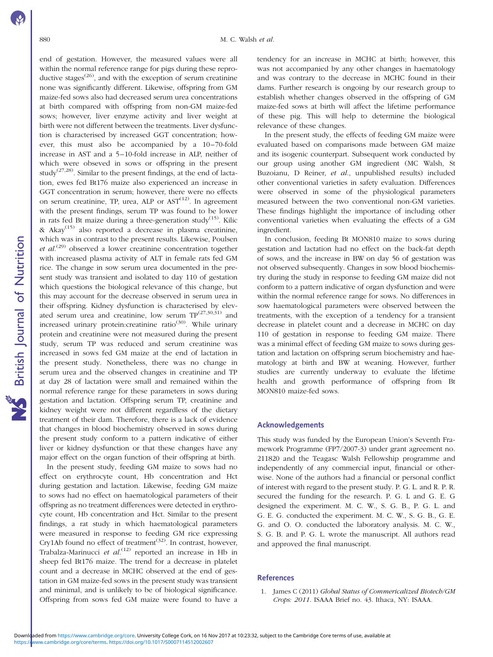**NS** British Journal of Nutrition British Journal of Nutrition

end of gestation. However, the measured values were all within the normal reference range for pigs during these reproductive stages<sup> $(26)$ </sup>, and with the exception of serum creatinine none was significantly different. Likewise, offspring from GM maize-fed sows also had decreased serum urea concentrations at birth compared with offspring from non-GM maize-fed sows; however, liver enzyme activity and liver weight at birth were not different between the treatments. Liver dysfunction is characterised by increased GGT concentration; however, this must also be accompanied by a 10–70-fold increase in AST and a 5–10-fold increase in ALP, neither of which were obseved in sows or offspring in the present study<sup> $(27,28)$ </sup>. Similar to the present findings, at the end of lactation, ewes fed Bt176 maize also experienced an increase in GGT concentration in serum; however, there were no effects on serum creatinine, TP, urea, ALP or  $AST^{(12)}$ . In agreement with the present findings, serum TP was found to be lower in rats fed Bt maize during a three-generation study<sup>(15)</sup>. Kilic & Akay<sup>(15)</sup> also reported a decrease in plasma creatinine, which was in contrast to the present results. Likewise, Poulsen et  $al^{(29)}$  observed a lower creatinine concentration together with increased plasma activity of ALT in female rats fed GM rice. The change in sow serum urea documented in the present study was transient and isolated to day 110 of gestation which questions the biological relevance of this change, but this may account for the decrease observed in serum urea in their offspring. Kidney dysfunction is characterised by elevated serum urea and creatinine, low serum  $TP^{(27,30,31)}$  and increased urinary protein: creatinine ratio<sup>(30)</sup>. While urinary protein and creatinine were not measured during the present study, serum TP was reduced and serum creatinine was increased in sows fed GM maize at the end of lactation in the present study. Nonetheless, there was no change in serum urea and the observed changes in creatinine and TP at day 28 of lactation were small and remained within the normal reference range for these parameters in sows during gestation and lactation. Offspring serum TP, creatinine and kidney weight were not different regardless of the dietary treatment of their dam. Therefore, there is a lack of evidence that changes in blood biochemistry observed in sows during the present study conform to a pattern indicative of either liver or kidney dysfunction or that these changes have any major effect on the organ function of their offspring at birth.

In the present study, feeding GM maize to sows had no effect on erythrocyte count, Hb concentration and Hct during gestation and lactation. Likewise, feeding GM maize to sows had no effect on haematological parameters of their offspring as no treatment differences were detected in erythrocyte count, Hb concentration and Hct. Similar to the present findings, a rat study in which haematological parameters were measured in response to feeding GM rice expressing Cry1Ab found no effect of treatment<sup> $(32)$ </sup>. In contrast, however, Trabalza-Marinucci et  $al^{(12)}$  reported an increase in Hb in sheep fed Bt176 maize. The trend for a decrease in platelet count and a decrease in MCHC observed at the end of gestation in GM maize-fed sows in the present study was transient and minimal, and is unlikely to be of biological significance. Offspring from sows fed GM maize were found to have a

tendency for an increase in MCHC at birth; however, this was not accompanied by any other changes in haematology and was contrary to the decrease in MCHC found in their dams. Further research is ongoing by our research group to establish whether changes observed in the offspring of GM maize-fed sows at birth will affect the lifetime performance of these pig. This will help to determine the biological relevance of these changes.

In the present study, the effects of feeding GM maize were evaluated based on comparisons made between GM maize and its isogenic counterpart. Subsequent work conducted by our group using another GM ingredient (MC Walsh, St Buzoianu, D Reiner, et al., unpublished results) included other conventional varieties in safety evaluation. Differences were observed in some of the physiological parameters measured between the two conventional non-GM varieties. These findings highlight the importance of including other conventional varieties when evaluating the effects of a GM ingredient.

In conclusion, feeding Bt MON810 maize to sows during gestation and lactation had no effect on the back-fat depth of sows, and the increase in BW on day 56 of gestation was not observed subsequently. Changes in sow blood biochemistry during the study in response to feeding GM maize did not conform to a pattern indicative of organ dysfunction and were within the normal reference range for sows. No differences in sow haematological parameters were observed between the treatments, with the exception of a tendency for a transient decrease in platelet count and a decrease in MCHC on day 110 of gestation in response to feeding GM maize. There was a minimal effect of feeding GM maize to sows during gestation and lactation on offspring serum biochemistry and haematology at birth and BW at weaning. However, further studies are currently underway to evaluate the lifetime health and growth performance of offspring from Bt MON810 maize-fed sows.

#### Acknowledgements

This study was funded by the European Union's Seventh Framework Programme (FP7/2007-3) under grant agreement no. 211820 and the Teagasc Walsh Fellowship programme and independently of any commercial input, financial or otherwise. None of the authors had a financial or personal conflict of interest with regard to the present study. P. G. L. and R. P. R. secured the funding for the research. P. G. L and G. E. G designed the experiment. M. C. W., S. G. B., P. G. L. and G. E. G. conducted the experiment. M. C. W., S. G. B., G. E. G. and O. O. conducted the laboratory analysis. M. C. W., S. G. B. and P. G. L. wrote the manuscript. All authors read and approved the final manuscript.

#### **References**

1. James C (2011) Global Status of Commericalized Biotech/GM Crops: 2011. ISAAA Brief no. 43. Ithaca, NY: ISAAA.